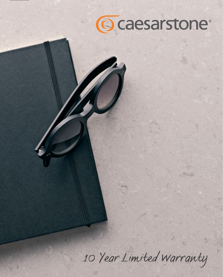

*10 Year Limited Warranty*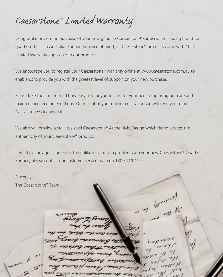### *Caesarstone® Limited Warranty*

Congratulations on the purchase of your new genuine Caesarstone® surfaces, the leading brand for quartz surfaces in Australia. For added peace of mind, all Caesarstone® products come with 10 Year Limited Warranty applicable to our product.

We encourage you to register your Caesarstone® warranty online at www.caesarstone.com.au to enable us to provide you with the greatest level of support on your new purchase.

Please take the time to read how easy it is for you to care for your bench top using our care and maintenance recommendations. On receipt of your online registration we will send you a free Caesarstone® cleaning kit.

We also will provide a stainless steel Caesarstone® Authenticity Badge which demonstrates the authenticity of your Caesarstone® product.

If you have any questions or in the unlikely event of a problem with your new Caesarstone® Quartz Surface; please contact our customer service team on 1300 119 119.

Sincerely, The Caesarstone® Teamfrance of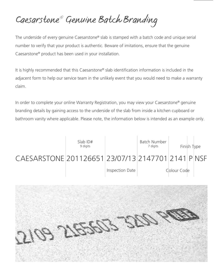# *Caesarstone® Genuine Batch Branding*

The underside of every genuine Caesarstone® slab is stamped with a batch code and unique serial number to verify that your product is authentic. Beware of imitations, ensure that the genuine Caesarstone® product has been used in your installation.

It is highly recommended that this Caesarstone® slab identification information is included in the adjacent form to help our service team in the unlikely event that you would need to make a warranty claim.

In order to complete your online Warranty Registration, you may view your Caesarstone® genuine branding details by gaining access to the underside of the slab from inside a kitchen cupboard or bathroom vanity where applicable. Please note, the information below is intended as an example only.



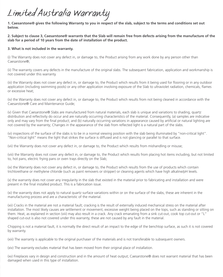## *Limited Australia Warranty*

**1. Caesarstone® gives the following Warranty to you in respect of the slab, subject to the terms and conditions set out below.**

**2. Subject to clause 3, Caesarstone® warrants that the Slab will remain free from defects arising from the manufacture of the slab for a period of 10 years from the date of installation of the product.**

#### **3. What is not included in the warranty.**

(i) The Warranty does not cover any defect in, or damage to, the Product arising from any work done by any person other than Caesarstone®;

(ii) The warranty covers any defects in the manufacture of the original slabs. The subsequent fabrication, application and workmanship is not covered under this warranty.

(iii) the Warranty does not cover any defect in, or damage to, the Product which results from it being used for flooring or in any outdoor application (including swimming pools) or any other application involving exposure of the Slab to ultraviolet radiation, chemicals, flames or excessive heat;

(iv) the Warranty does not cover any defect in, or damage to, the Product which results from not being cleaned in accordance with the Caesarstone® Care and Maintenance Guide;

(v) Given that Caesarstone® Slabs are manufactured from natural materials, each slab is unique and variations to shading, quartz distribution and reflectivity do occur and are naturally occurring characteristics of the material. Consequently, (a) samples are indicative only and may vary from the final product; and (b) naturally occurring variations in appearance caused by artificial or natural lighting are not covered by the warranty; Changes in the appearance of the slab from reflected light is a natural part of the slabs.

(vi) inspections of the surface of the slabs is to be in a normal viewing position with the slab being illuminated by "non-critical light". "Non-critical light" means the light that strikes the surface is diffused and is not glancing or parallel to that surface.

(vii) the Warranty does not cover any defect in, or damage to, the Product which results from mishandling or misuse;

(viii) the Warranty does not cover any defect in, or damage to, the Product which results from placing hot items including, but not limited to, hot pans, electric frying pans or oven trays directly on the Slab;

(ix) the Warranty does not cover any defect in, or damage to, the Product which results from the use of products which contain trichlorethane or methylene chloride (such as paint removers or stripper) or cleaning agents which have high alkaline/pH levels.

(x) the warranty does not cover any irregularity in the slab that existed in the material prior to fabricating and installation and were present in the final installed product. This is a fabrication issue.

(xi) the warranty does not apply to natural quartz surface variations within or on the surface of the slabs, these are inherent in the manufacturing process and are a characteristic of the material.

(xii) Cracks in the material are not a material fault; cracking is the result of externally induced mechanical stress on the material after installation. The most likely causes are settlement or movement, excessive weight being placed on the tops, such as standing or sitting on them. Heat, as explained in section (viii) may also result in a crack. Any crack emanating from a sink cut-out, cook top cut-out or "L" shaped cut-out is also not covered under this warranty, these are not caused by any fault in the material.

Chipping is not a material fault, it is normally the direct result of an impact to the edge of the benchtop surface, as such it is not covered by warranty.

(xiii) The warranty is applicable to the original purchaser of the materials and is not transferable to subsequent owners.

(xiv) The warranty excludes material that has been moved from their original place of installation.

(xv) Fireplaces vary in design and construction and in the amount of heat output; Caesarstone® does not warrant material that has been damaged when used in this type of installation.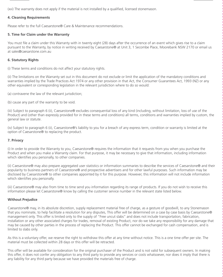(xvi) The warranty does not apply if the material is not installed by a qualified, licensed stonemason.

#### **4. Cleaning Requirements**

Please refer to the full Caesarstone® Care & Maintenance recommendations.

#### **5. Time for Claim under the Warranty**

You must file a claim under this Warranty with in twenty eight (28) days after the occurrence of an event which gives rise to a claim pursuant to the Warranty, by notice in writing received by Caesarstone® at Unit 3, 1 Secombe Place, Moorebank NSW 2170 or email us at sales@caesarstone.com.au.

#### **6. Statutory Rights**

(i) These terms and conditions do not affect your statutory rights.

(ii) The limitations on the Warranty set out in this document do not exclude or limit the application of the mandatory conditions and warranties implied by the Trade Practices Act 1974 or any other provision in that Act, the Consumer Guarantees Act, 1993 (NZ) or any other equivalent or corresponding legislation in the relevant jurisdiction where to do so would:

(a) contravene the law of the relevant jurisdiction;

(b) cause any part of the warranty to be void.

(iii) Subject to paragraph 6 (ii), Caesarstone® excludes consequential loss of any kind (including, without limitation, loss of use of the Product) and (other than expressly provided for in these terms and conditions) all terms, conditions and warranties implied by custom, the general law or statute.

(iv) Subject to paragraph 6 (ii), Caesarstone®'s liability to you for a breach of any express term, condition or warranty is limited at the option of Caesarstone® to replacing the product.

#### **7. Privacy**

(i) In order to provide the Warranty to you, Caesarstone® requires the information that it requests from you when you purchase the Product and when you make a Warranty claim. For that purpose, it may be necessary to give that information, including information which identifies you personally, to other companies.

(ii) Caesarstone® may also prepare aggregated user statistics or information summaries to describe the services of Caesarstone® and their popularity to business partners of Caesarstone® and prospective advertisers and for other lawful purposes. Such information may be disclosed by Caesarstone® to other companies appointed by it for this purpose. However, this information will not include information which identifies you personally.

(iii) Caesarstone® may also from time to time send you information regarding its range of products. If you do not wish to receive this information please let Caesarstone® know by calling the customer service number in the relevant state listed below.

#### **Without Prejudice**

Caesarstone® may, in its absolute discretion, supply replacement material free of charge, as a gesture of goodwill, to any Stonemason that you nominate, to help facilitate a resolution for any disputes, This offer will be determined on a case by case basis by Caesarstone® management only. This offer is limited only to the supply of "Free uncut slabs" and does not include transportation, fabrication, installation or any other associated charges for trades, removal of existing Product, nor do we take any responsibility for any damage that may be caused by other parties in the process of replacing the Product. This offer cannot be exchanged for cash compensation, and is limited to slabs only.

As this is a voluntary offer, we reserve the right to withdraw this offer at any time without notice. This is a one time offer per site. The material must be collected within 28 days or this offer will be retracted.

This offer will be available for consideration for the original purchaser of the Product and is not valid for subsequent owners. In making this offer, it does not confer any obligation to any third party to provide any services or costs whatsoever, nor does it imply that there is any liability for any third party because we have provided the materials free of charge.